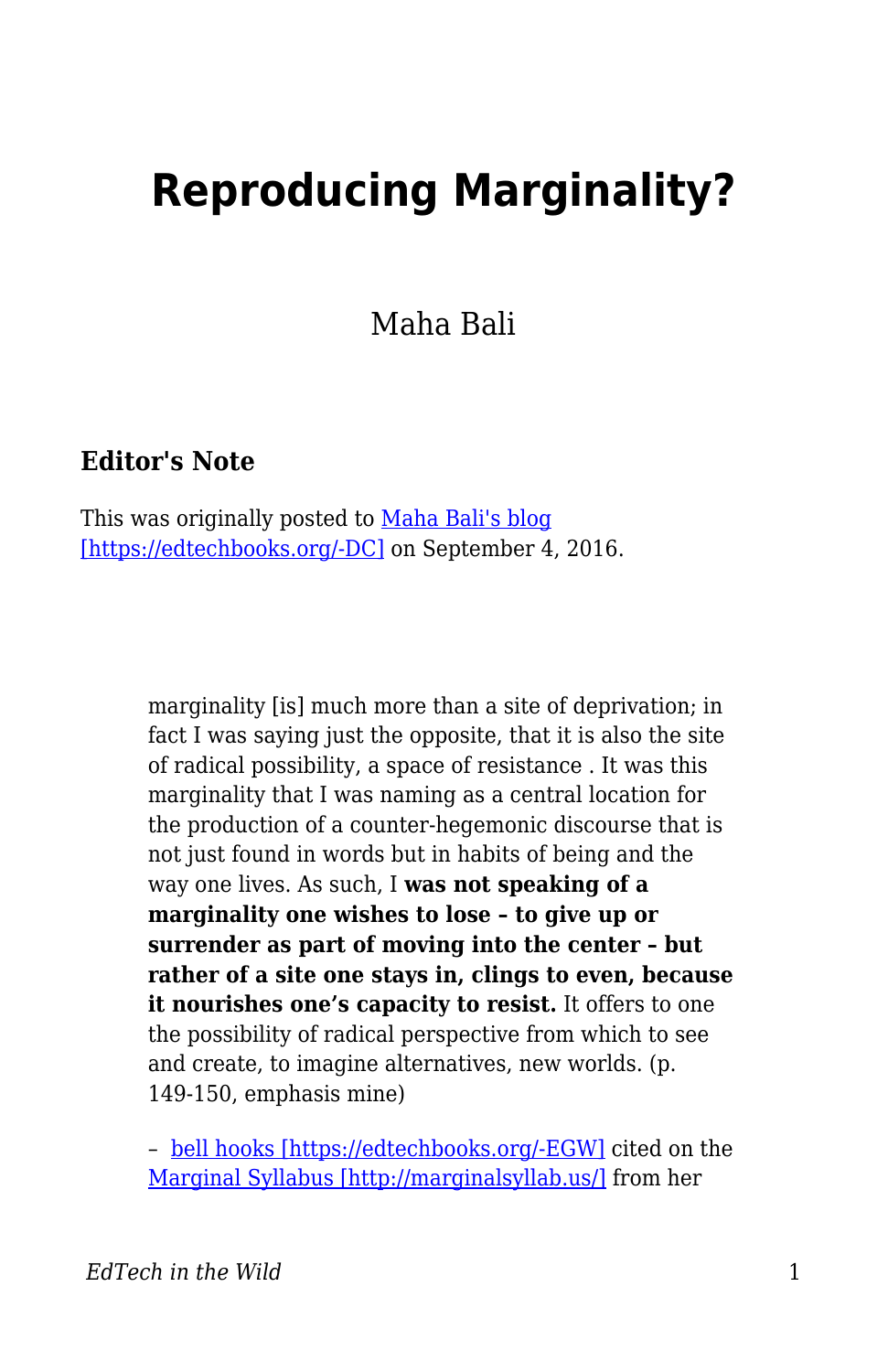## **Reproducing Marginality?**

Maha Bali

## **Editor's Note**

This was originally posted to [Maha Bali's blog](https://blog.mahabali.me/pedagogy/critical-pedagogy/reproducing-marginality/) [\[https://edtechbooks.org/-DC\]](https://blog.mahabali.me/pedagogy/critical-pedagogy/reproducing-marginality/) on September 4, 2016.

> marginality [is] much more than a site of deprivation; in fact I was saying just the opposite, that it is also the site of radical possibility, a space of resistance . It was this marginality that I was naming as a central location for the production of a counter-hegemonic discourse that is not just found in words but in habits of being and the way one lives. As such, I **was not speaking of a marginality one wishes to lose – to give up or surrender as part of moving into the center – but rather of a site one stays in, clings to even, because it nourishes one's capacity to resist.** It offers to one the possibility of radical perspective from which to see and create, to imagine alternatives, new worlds. (p. 149-150, emphasis mine)

> – [bell hooks \[https://edtechbooks.org/-EGW\]](http://www.bellhooksinstitute.com/) cited on the [Marginal Syllabus \[http://marginalsyllab.us/\]](http://marginalsyllab.us/) from her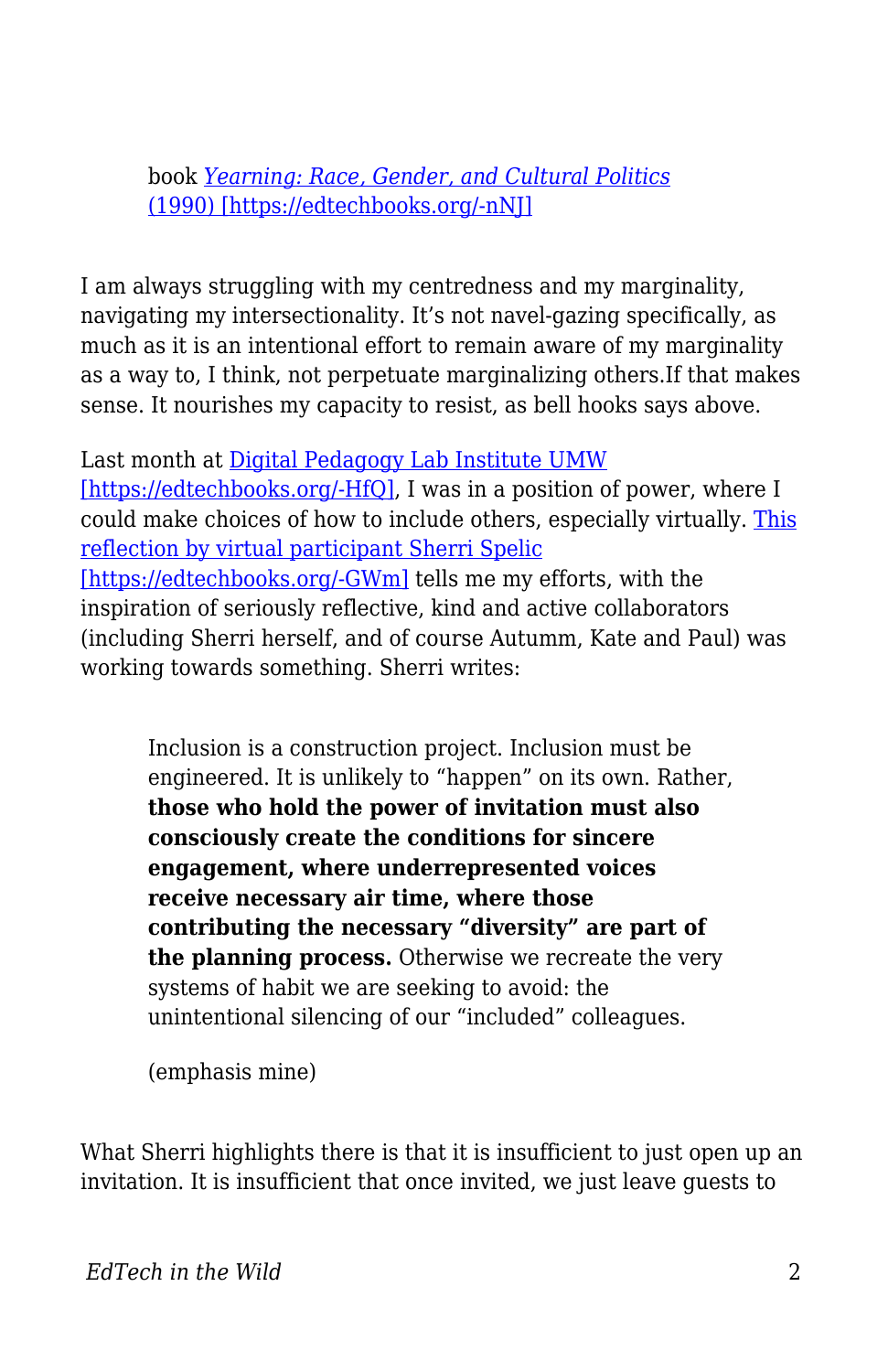book *[Yearning: Race, Gender, and Cultural Politics](https://www.goodreads.com/book/show/385655.Yearning)* [\(1990\) \[https://edtechbooks.org/-nNJ\]](https://www.goodreads.com/book/show/385655.Yearning)

I am always struggling with my centredness and my marginality, navigating my intersectionality. It's not navel-gazing specifically, as much as it is an intentional effort to remain aware of my marginality as a way to, I think, not perpetuate marginalizing others.If that makes sense. It nourishes my capacity to resist, as bell hooks says above.

Last month at [Digital Pedagogy Lab Institute UMW](http://www.digpedlab.com/institute) [\[https://edtechbooks.org/-HfQ\],](http://www.digpedlab.com/institute) I was in a position of power, where I could make choices of how to include others, especially virtually. [This](http://www.digitalpedagogylab.com/digital-pedagogy-lab-2016-institute-aftermath-future-tense/) [reflection by virtual participant Sherri Spelic](http://www.digitalpedagogylab.com/digital-pedagogy-lab-2016-institute-aftermath-future-tense/) [\[https://edtechbooks.org/-GWm\]](http://www.digitalpedagogylab.com/digital-pedagogy-lab-2016-institute-aftermath-future-tense/) tells me my efforts, with the inspiration of seriously reflective, kind and active collaborators (including Sherri herself, and of course Autumm, Kate and Paul) was working towards something. Sherri writes:

Inclusion is a construction project. Inclusion must be engineered. It is unlikely to "happen" on its own. Rather, **those who hold the power of invitation must also consciously create the conditions for sincere engagement, where underrepresented voices receive necessary air time, where those contributing the necessary "diversity" are part of the planning process.** Otherwise we recreate the very systems of habit we are seeking to avoid: the unintentional silencing of our "included" colleagues.

(emphasis mine)

What Sherri highlights there is that it is insufficient to just open up an invitation. It is insufficient that once invited, we just leave guests to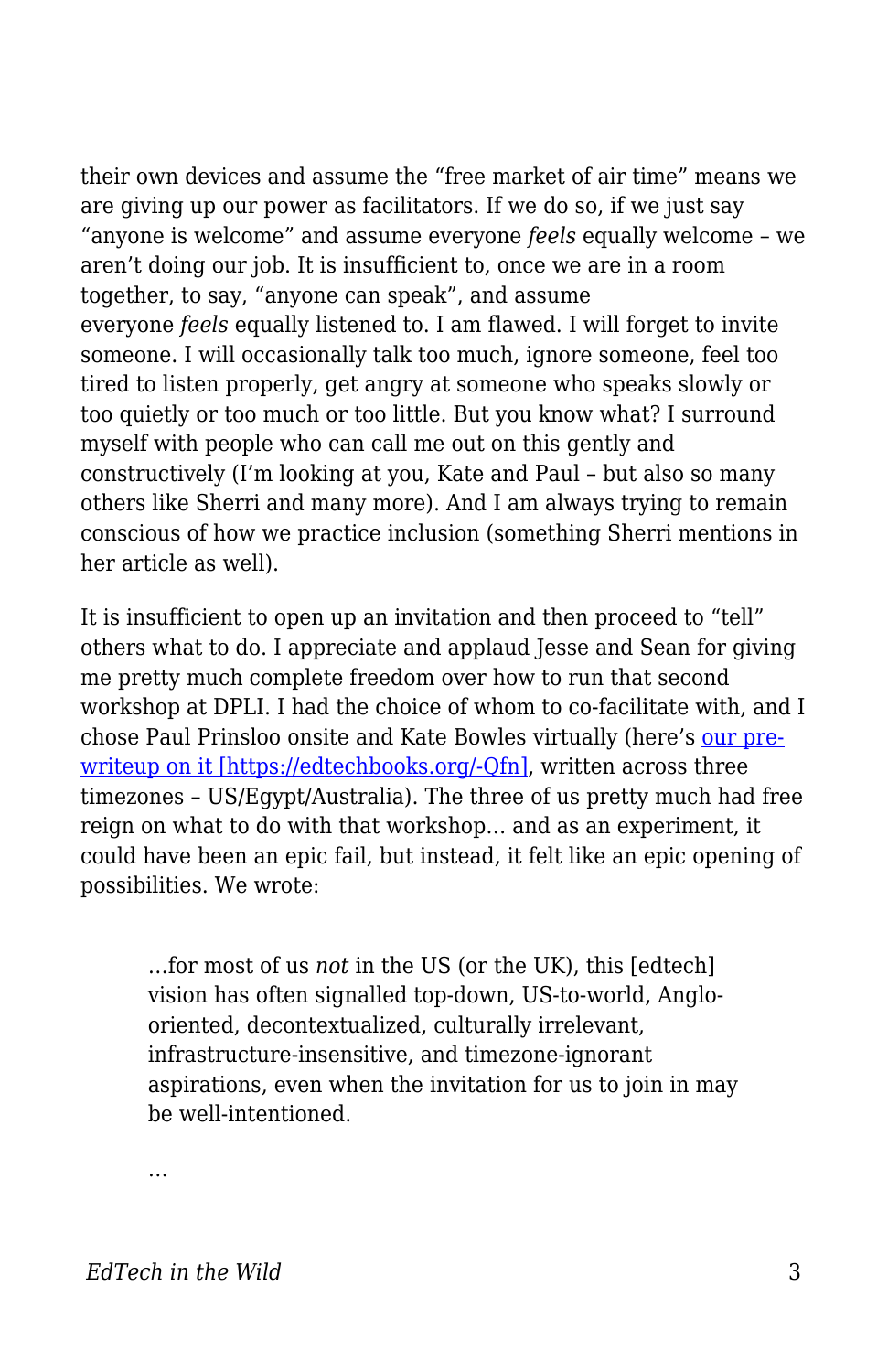their own devices and assume the "free market of air time" means we are giving up our power as facilitators. If we do so, if we just say "anyone is welcome" and assume everyone *feels* equally welcome – we aren't doing our job. It is insufficient to, once we are in a room together, to say, "anyone can speak", and assume everyone *feels* equally listened to. I am flawed. I will forget to invite someone. I will occasionally talk too much, ignore someone, feel too tired to listen properly, get angry at someone who speaks slowly or too quietly or too much or too little. But you know what? I surround myself with people who can call me out on this gently and constructively (I'm looking at you, Kate and Paul – but also so many others like Sherri and many more). And I am always trying to remain conscious of how we practice inclusion (something Sherri mentions in her article as well).

It is insufficient to open up an invitation and then proceed to "tell" others what to do. I appreciate and applaud Jesse and Sean for giving me pretty much complete freedom over how to run that second workshop at DPLI. I had the choice of whom to co-facilitate with, and I chose Paul Prinsloo onsite and Kate Bowles virtually (here's [our pre](https://edcontexts.org/contexts-matter/international-something-why-you-should-care-digped/)[writeup on it \[https://edtechbooks.org/-Qfn\],](https://edcontexts.org/contexts-matter/international-something-why-you-should-care-digped/) written across three timezones – US/Egypt/Australia). The three of us pretty much had free reign on what to do with that workshop… and as an experiment, it could have been an epic fail, but instead, it felt like an epic opening of possibilities. We wrote:

…for most of us *not* in the US (or the UK), this [edtech] vision has often signalled top-down, US-to-world, Anglooriented, decontextualized, culturally irrelevant, infrastructure-insensitive, and timezone-ignorant aspirations, even when the invitation for us to join in may be well-intentioned.

…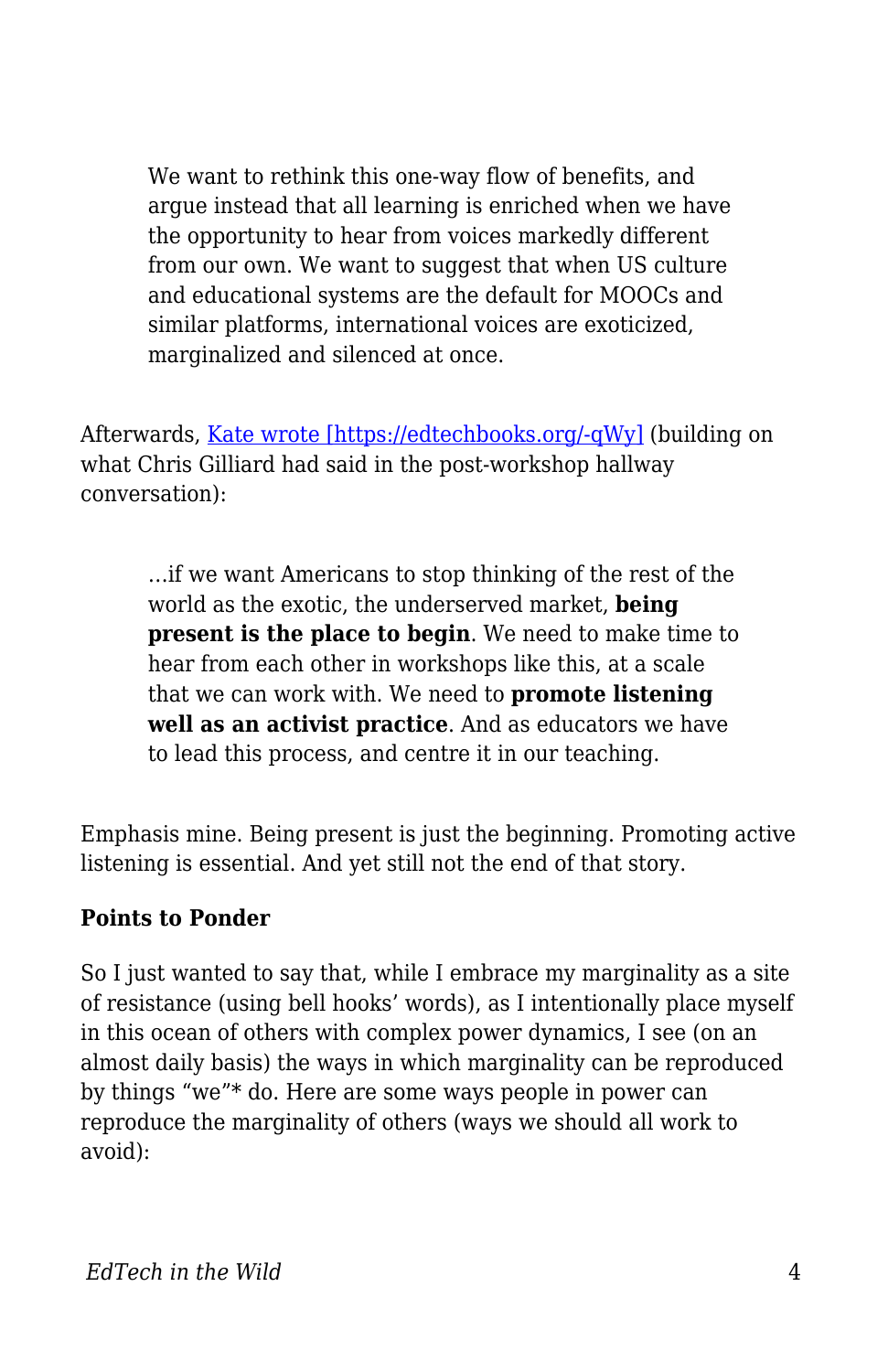We want to rethink this one-way flow of benefits, and argue instead that all learning is enriched when we have the opportunity to hear from voices markedly different from our own. We want to suggest that when US culture and educational systems are the default for MOOCs and similar platforms, international voices are exoticized, marginalized and silenced at once.

Afterwards, [Kate wrote \[https://edtechbooks.org/-qWy\]](http://musicfordeckchairs.com/blog/2016/08/12/usnot-us/) (building on what Chris Gilliard had said in the post-workshop hallway conversation):

…if we want Americans to stop thinking of the rest of the world as the exotic, the underserved market, **being present is the place to begin**. We need to make time to hear from each other in workshops like this, at a scale that we can work with. We need to **promote listening well as an activist practice**. And as educators we have to lead this process, and centre it in our teaching.

Emphasis mine. Being present is just the beginning. Promoting active listening is essential. And yet still not the end of that story.

## **Points to Ponder**

So I just wanted to say that, while I embrace my marginality as a site of resistance (using bell hooks' words), as I intentionally place myself in this ocean of others with complex power dynamics, I see (on an almost daily basis) the ways in which marginality can be reproduced by things "we"\* do. Here are some ways people in power can reproduce the marginality of others (ways we should all work to avoid):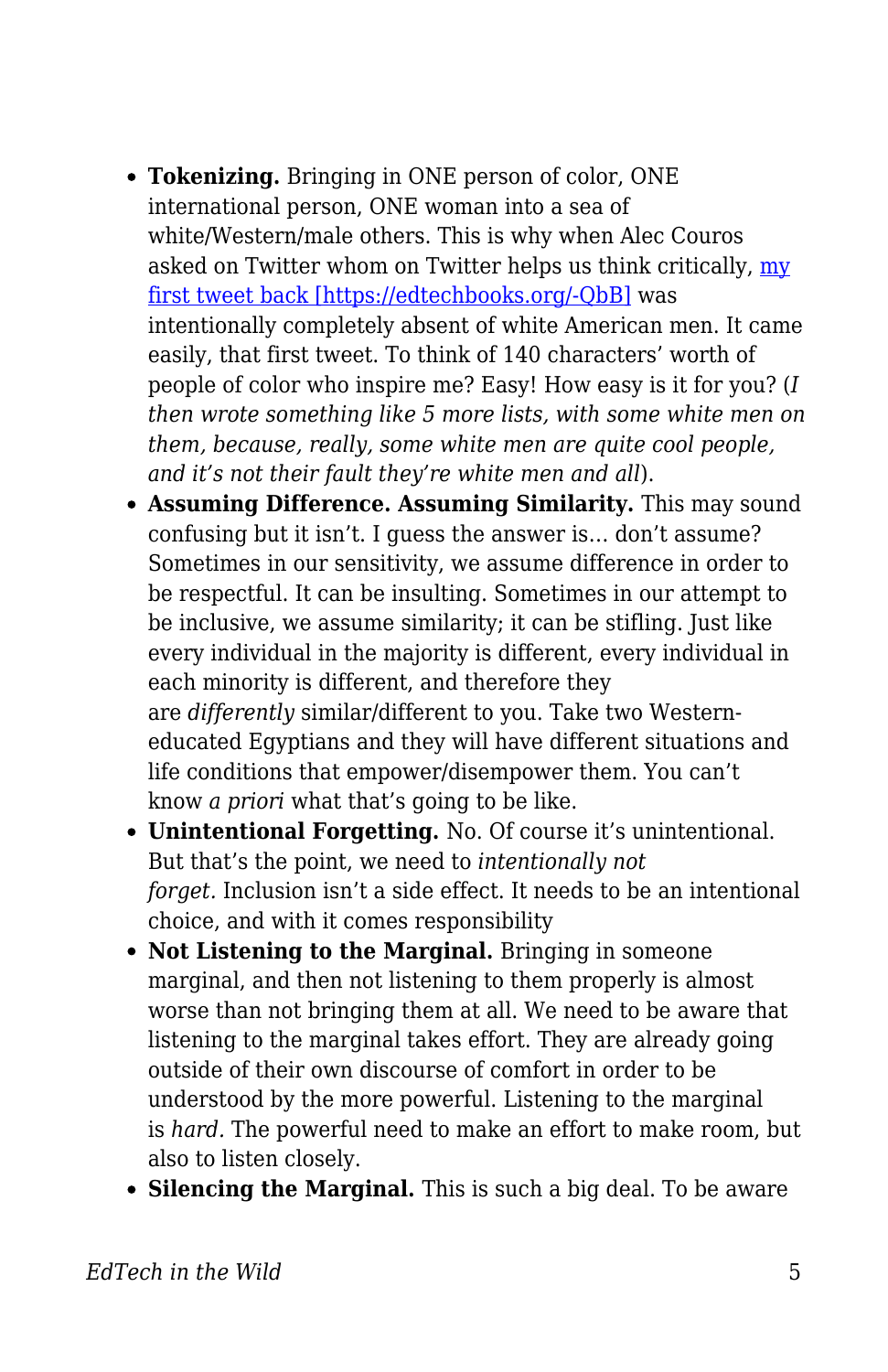- **Tokenizing.** Bringing in ONE person of color, ONE international person, ONE woman into a sea of white/Western/male others. This is why when Alec Couros asked on Twitter whom on Twitter helps us think critically, [my](https://twitter.com/Bali_Maha/status/772230662283722752) [first tweet back \[https://edtechbooks.org/-QbB\]](https://twitter.com/Bali_Maha/status/772230662283722752) was intentionally completely absent of white American men. It came easily, that first tweet. To think of 140 characters' worth of people of color who inspire me? Easy! How easy is it for you? (*I then wrote something like 5 more lists, with some white men on them, because, really, some white men are quite cool people, and it's not their fault they're white men and all*).
- **Assuming Difference. Assuming Similarity.** This may sound confusing but it isn't. I guess the answer is… don't assume? Sometimes in our sensitivity, we assume difference in order to be respectful. It can be insulting. Sometimes in our attempt to be inclusive, we assume similarity; it can be stifling. Just like every individual in the majority is different, every individual in each minority is different, and therefore they are *differently* similar/different to you. Take two Westerneducated Egyptians and they will have different situations and life conditions that empower/disempower them. You can't know *a priori* what that's going to be like.
- **Unintentional Forgetting.** No. Of course it's unintentional. But that's the point, we need to *intentionally not forget.* Inclusion isn't a side effect. It needs to be an intentional choice, and with it comes responsibility
- Not Listening to the Marginal. Bringing in someone marginal, and then not listening to them properly is almost worse than not bringing them at all. We need to be aware that listening to the marginal takes effort. They are already going outside of their own discourse of comfort in order to be understood by the more powerful. Listening to the marginal is *hard.* The powerful need to make an effort to make room, but also to listen closely.
- **Silencing the Marginal.** This is such a big deal. To be aware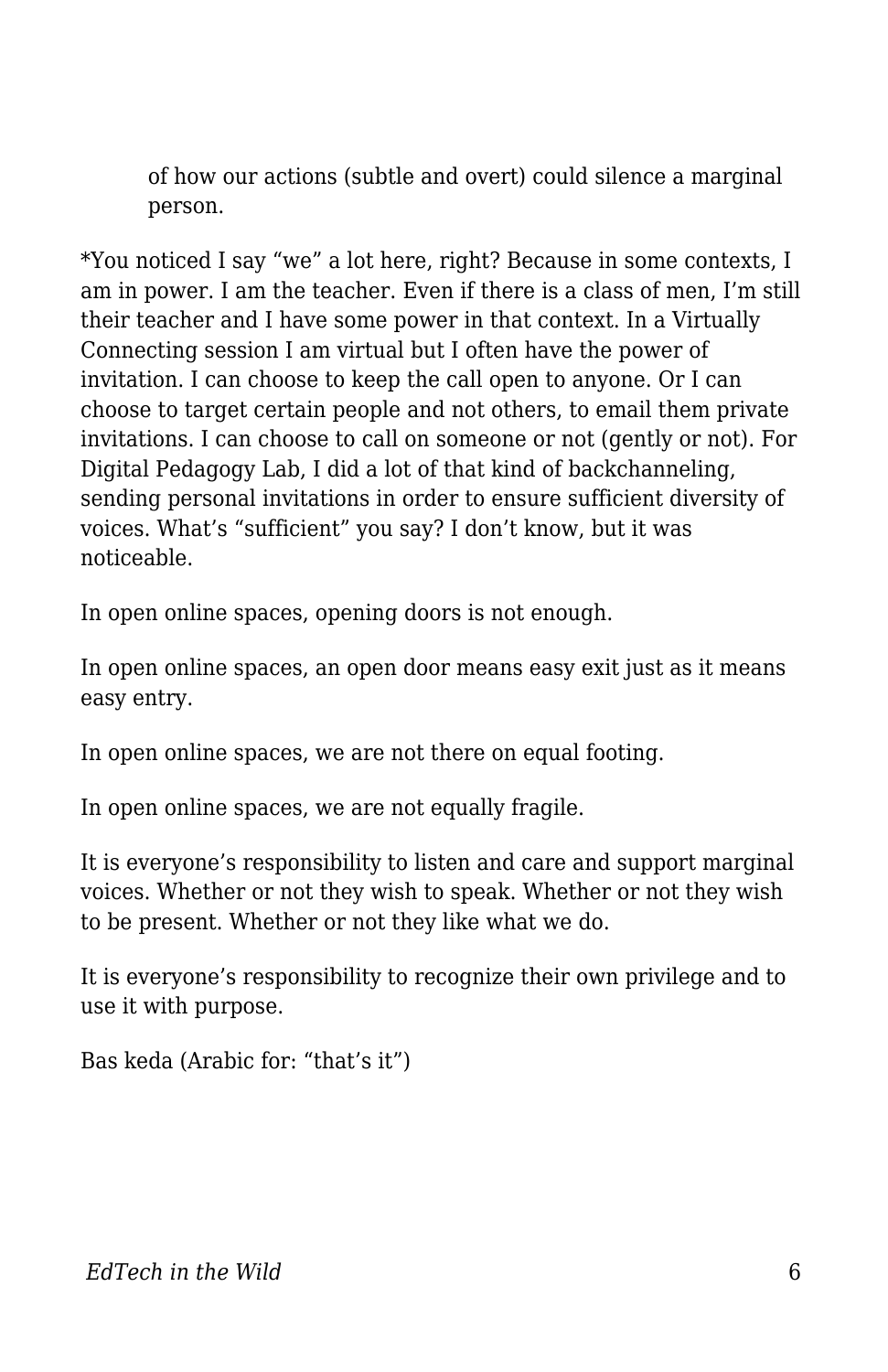of how our actions (subtle and overt) could silence a marginal person.

\*You noticed I say "we" a lot here, right? Because in some contexts, I am in power. I am the teacher. Even if there is a class of men, I'm still their teacher and I have some power in that context. In a Virtually Connecting session I am virtual but I often have the power of invitation. I can choose to keep the call open to anyone. Or I can choose to target certain people and not others, to email them private invitations. I can choose to call on someone or not (gently or not). For Digital Pedagogy Lab, I did a lot of that kind of backchanneling, sending personal invitations in order to ensure sufficient diversity of voices. What's "sufficient" you say? I don't know, but it was noticeable.

In open online spaces, opening doors is not enough.

In open online spaces, an open door means easy exit just as it means easy entry.

In open online spaces, we are not there on equal footing.

In open online spaces, we are not equally fragile.

It is everyone's responsibility to listen and care and support marginal voices. Whether or not they wish to speak. Whether or not they wish to be present. Whether or not they like what we do.

It is everyone's responsibility to recognize their own privilege and to use it with purpose.

Bas keda (Arabic for: "that's it")